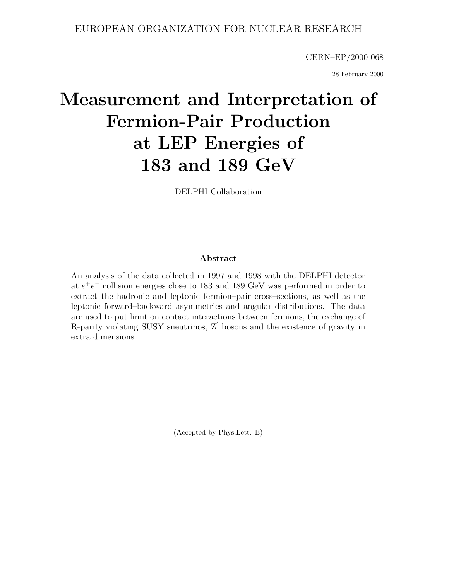## EUROPEAN ORGANIZATION FOR NUCLEAR RESEARCH

CERN–EP/2000-068

28 February 2000

# **Measurement and Interpretation of Fermion-Pair Production at LEP Energies of 183 and 189 GeV**

DELPHI Collaboration

### **Abstract**

An analysis of the data collected in 1997 and 1998 with the DELPHI detector at  $e^+e^-$  collision energies close to 183 and 189 GeV was performed in order to extract the hadronic and leptonic fermion–pair cross–sections, as well as the leptonic forward–backward asymmetries and angular distributions. The data are used to put limit on contact interactions between fermions, the exchange of R-parity violating SUSY sneutrinos, Z' bosons and the existence of gravity in extra dimensions.

(Accepted by Phys.Lett. B)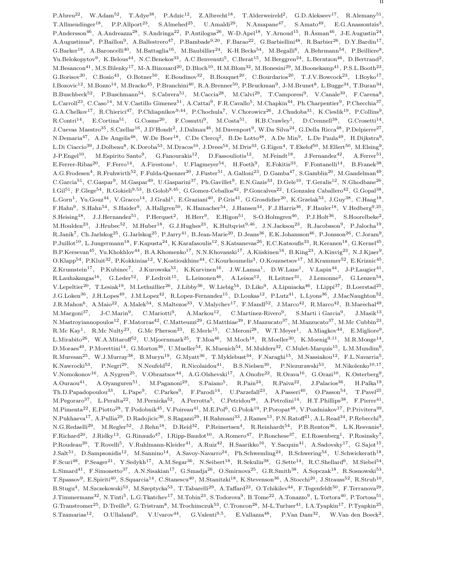P.Abreu<sup>22</sup>, W.Adam<sup>52</sup>, T.Adye<sup>38</sup>, P.Adzic<sup>12</sup>, Z.Albrecht<sup>18</sup>, T.Alderweireld<sup>2</sup>, G.D.Alekseev<sup>17</sup>, R.Alemany<sup>51</sup> T.Allmendinger<sup>18</sup>, P.P.Allport<sup>23</sup>, S.Almehed<sup>25</sup>, U.Amaldi<sup>29</sup>, N.Amapane<sup>47</sup>, S.Amato<sup>49</sup>, E.G.Anassontzis<sup>3</sup>, P.Andersson<sup>46</sup>, A.Andreazza<sup>28</sup>, S.Andringa<sup>22</sup>, P.Antilogus<sup>26</sup>, W-D.Apel<sup>18</sup>, Y.Arnoud<sup>15</sup>, B.Åsman<sup>46</sup>, J-E.Augustin<sup>24</sup>, A.Augustinus9, P.Baillon9, A.Ballestrero47, P.Bambade9,20, F.Barao22, G.Barbiellini48, R.Barbier26, D.Y.Bardin17,  $G.Barker<sup>18</sup>, A.Baroncell<sup>40</sup>, M.Battaglia<sup>16</sup>, M.Baubillier<sup>24</sup>, K-H.Becks<sup>54</sup>, M.Begalli<sup>6</sup>, A.Behrmann<sup>54</sup>, P.Beilliere<sup>8</sup>,$ Yu.Belokopytov<sup>9</sup>, K.Belous<sup>44</sup>, N.C.Benekos<sup>33</sup>, A.C.Benvenuti<sup>5</sup>, C.Berat<sup>15</sup>, M.Berggren<sup>24</sup>, L.Berntzon<sup>46</sup>, D.Bertrand<sup>2</sup>, M.Besancon41, M.S.Bilenky17, M-A.Bizouard20, D.Bloch10, H.M.Blom32, M.Bonesini29, M.Boonekamp41, P.S.L.Booth23, G.Borisov<sup>20</sup>, C.Bosio<sup>43</sup>, O.Botner<sup>50</sup>, E.Boudinov<sup>32</sup>, B.Bouquet<sup>20</sup>, C.Bourdarios<sup>20</sup>, T.J.V.Bowcock<sup>23</sup>, I.Boyko<sup>17</sup>  $I.Bozovic<sup>12</sup>, M.Bozzo<sup>14</sup>, M.Bracko<sup>45</sup>, P.Branchini<sup>40</sup>, R.A.Brenner<sup>50</sup>, P.Bruckman<sup>9</sup>, J-M.Brunet<sup>8</sup>, L.Buge<sup>34</sup>, T.Buran<sup>34</sup>,$ B.Buschbeck52, P.Buschmann54, S.Cabrera51, M.Caccia28, M.Calvi29, T.Camporesi9, V.Canale39, F.Carena9, L.Carroll<sup>23</sup>, C.Caso<sup>14</sup>, M.V.Castillo Gimenez<sup>51</sup>, A.Cattai<sup>9</sup>, F.R.Cavallo<sup>5</sup>, M.Chapkin<sup>44</sup>, Ph.Charpentier<sup>9</sup>, P.Checchia<sup>37</sup>, G.A.Chelkov17, R.Chierici47, P.Chliapnikov9,44, P.Chochula7, V.Chorowicz26, J.Chudoba31, K.Cieslik19, P.Collins9, R.Contri<sup>14</sup>, E.Cortina<sup>51</sup>, G.Cosme<sup>20</sup>, F.Cossutti<sup>9</sup>, M.Costa<sup>51</sup>, H.B.Crawley<sup>1</sup>, D.Crennell<sup>38</sup>, G.Crosetti<sup>14</sup>, J.Cuevas Maestro<sup>35</sup>, S.Czellar<sup>16</sup>, J.D'Hondt<sup>2</sup>, J.Dalmau<sup>46</sup>, M.Davenport<sup>9</sup>, W.Da Silva<sup>24</sup>, G.Della Ricca<sup>48</sup>, P.Delpierre<sup>27</sup>, N.Demaria<sup>47</sup>, A.De Angelis<sup>48</sup>, W.De Boer<sup>18</sup>, C.De Clercq<sup>2</sup>, B.De Lotto<sup>48</sup>, A.De Min<sup>9</sup>, L.De Paula<sup>49</sup>, H.Dijkstra<sup>9</sup>, L.Di Ciaccio<sup>39</sup>, J.Dolbeau<sup>8</sup>, K.Doroba<sup>53</sup>, M.Dracos<sup>10</sup>, J.Drees<sup>54</sup>, M.Dris<sup>33</sup>, G.Eigen<sup>4</sup>, T.Ekelof<sup>50</sup>, M.Ellert<sup>50</sup>, M.Elsing<sup>9</sup>, J-P.Engel<sup>10</sup>, M.Espirito Santo<sup>9</sup>, G.Fanourakis<sup>12</sup>, D.Fassouliotis<sup>12</sup>, M.Feindt<sup>18</sup>, J.Fernandez<sup>42</sup>, A.Ferrer<sup>51</sup>, E.Ferrer-Ribas<sup>20</sup>, F.Ferro<sup>14</sup>, A.Firestone<sup>1</sup>, U.Flagmeyer<sup>54</sup>, H.Foeth<sup>9</sup>, E.Fokitis<sup>33</sup>, F.Fontanelli<sup>14</sup>, B.Franek<sup>38</sup>, A.G.Frodesen4, R.Fruhwirth52, F.Fulda-Quenzer20, J.Fuster51, A.Galloni23, D.Gamba47, S.Gamblin20, M.Gandelman49, C.Garcia<sup>51</sup>, C.Gaspar<sup>9</sup>, M.Gaspar<sup>49</sup>, U.Gasparini<sup>37</sup>, Ph.Gavillet<sup>9</sup>, E.N.Gazis<sup>33</sup>, D.Gele<sup>10</sup>, T.Geralis<sup>12</sup>, N.Ghodbane<sup>26</sup>,  $LGil<sup>51</sup>$ , F.Glege<sup>54</sup>, R.Gokieli<sup>9,53</sup>, B.Golob<sup>9,45</sup>, G.Gomez-Ceballos<sup>42</sup>, P.Goncalves<sup>22</sup>, I.Gonzalez Caballero<sup>42</sup>, G.Gopal<sup>38</sup>, L.Gorn1, Yu.Gouz44, V.Gracco14, J.Grahl1, E.Graziani40, P.Gris41, G.Grosdidier20, K.Grzelak53, J.Guy38, C.Haag18, F.Hahn<sup>9</sup>, S.Hahn<sup>54</sup>, S.Haider<sup>9</sup>, A.Hallgren<sup>50</sup>, K.Hamacher<sup>54</sup>, J.Hansen<sup>34</sup>, F.J.Harris<sup>36</sup>, F.Hauler<sup>18</sup>, V.Hedberg<sup>9,25</sup>,  $S.Heising<sup>18</sup>, J.J.Hernande<sup>51</sup>, P.Herquet<sup>2</sup>, H.Herr<sup>9</sup>, E.Higon<sup>51</sup>, S-O.Holmgren<sup>46</sup>, P.J.Holt<sup>36</sup>, S.Hoorelbeke<sup>2</sup>,$ M.Houlden<sup>23</sup>, J.Hrubec<sup>52</sup>, M.Huber<sup>18</sup>, G.J.Hughes<sup>23</sup>, K.Hultqvist<sup>9,46</sup>, J.N.Jackson<sup>23</sup>, R.Jacobsson<sup>9</sup>, P.Jalocha<sup>19</sup>, R.Janik7, Ch.Jarlskog25, G.Jarlskog25, P.Jarry41, B.Jean-Marie20, D.Jeans36, E.K.Johansson46, P.Jonsson26, C.Joram9, P.Juillot<sup>10</sup>, L.Jungermann<sup>18</sup>, F.Kapusta<sup>24</sup>, K.Karafasoulis<sup>12</sup>, S.Katsanevas<sup>26</sup>, E.C.Katsoufis<sup>33</sup>, R.Keranen<sup>18</sup>, G.Kernel<sup>45</sup>, B.P.Kersevan<sup>45</sup>, Yu.Khokhlov<sup>44</sup>, B.A.Khomenko<sup>17</sup>, N.N.Khovanski<sup>17</sup>, A.Kiiskinen<sup>16</sup>, B.King<sup>23</sup>, A.Kinvig<sup>23</sup>, N.J.Kjaer<sup>9</sup>, O.Klapp<sup>54</sup>, P.Kluit<sup>32</sup>, P.Kokkinias<sup>12</sup>, V.Kostioukhine<sup>44</sup>, C.Kourkoumelis<sup>3</sup>, O.Kouznetsov<sup>17</sup>, M.Krammer<sup>52</sup>, E.Kriznic<sup>45</sup>, Z.Krumstein17, P.Kubinec7, J.Kurowska53, K.Kurvinen16, J.W.Lamsa1, D.W.Lane1, V.Lapin44, J-P.Laugier41,  $R.Lauhakangas<sup>16</sup>, G.Leder<sup>52</sup>, F.Ledrot<sup>15</sup>, L.Leinonen<sup>46</sup>, A.Leisos<sup>12</sup>, R.Leitner<sup>31</sup>, J.Lemonne<sup>2</sup>, G.Lenzen<sup>54</sup>,$ V.Lepeltier<sup>20</sup>, T.Lesiak<sup>19</sup>, M.Lethuillier<sup>26</sup>, J.Libby<sup>36</sup>, W.Liebig<sup>54</sup>, D.Liko<sup>9</sup>, A.Lipniacka<sup>46</sup>, I.Lippi<sup>37</sup>, B.Loerstad<sup>25</sup>,  $J.G.Loken<sup>36</sup>, J.H.Lopes<sup>49</sup>, J.M.Lope<sup>42</sup>, R.Lopez-Fernande<sup>15</sup>, D.Loukas<sup>12</sup>, P.Lutz<sup>41</sup>, L.Lvons<sup>36</sup>, J.MacNaughton<sup>52</sup>,$ J.R.Mahon6, A.Maio22, A.Malek54, S.Maltezos33, V.Malychev17, F.Mandl52, J.Marco42, R.Marco42, B.Marechal49, M.Margoni37, J-C.Marin9, C.Mariotti9, A.Markou12, C.Martinez-Rivero9, S.Marti i Garcia9, J.Masik13, N.Mastroyiannopoulos12, F.Matorras42, C.Matteuzzi29, G.Matthiae39, F.Mazzucato37, M.Mazzucato37, M.Mc Cubbin23, R.Mc Kay<sup>1</sup>, R.Mc Nulty<sup>23</sup>, G.Mc Pherson<sup>23</sup>, E.Merle<sup>15</sup>, C.Meroni<sup>28</sup>, W.T.Meyer<sup>1</sup>, A.Miagkov<sup>44</sup>, E.Migliore<sup>9</sup>, L.Mirabito<sup>26</sup>, W.A.Mitaroff<sup>52</sup>, U.Mjoernmark<sup>25</sup>, T.Moa<sup>46</sup>, M.Moch<sup>18</sup>, R.Moeller<sup>30</sup>, K.Moenig<sup>9,11</sup>, M.R.Monge<sup>14</sup>, D.Moraes<sup>49</sup>, P.Morettini<sup>14</sup>, G.Morton<sup>36</sup>, U.Mueller<sup>54</sup>, K.Muenich<sup>54</sup>, M.Mulders<sup>32</sup>, C.Mulet-Marquis<sup>15</sup>, L.M.Mundim<sup>6</sup>, R.Muresan25, W.J.Murray38, B.Muryn19, G.Myatt36, T.Myklebust34, F.Naraghi15, M.Nassiakou12, F.L.Navarria5,  $K.Naurocki<sup>53</sup>, P.Negri<sup>29</sup>, N.Neufeld<sup>52</sup>, R.Nicolaidou<sup>41</sup>, B.S.Nielsen<sup>30</sup>, P.Niezurawski<sup>53</sup>, M.Nikolenko<sup>10,17</sup>,$ V.Nomokonov<sup>16</sup>, A.Nygren<sup>25</sup>, V.Obraztsov<sup>44</sup>, A.G.Olshevski<sup>17</sup>, A.Onofre<sup>22</sup>, R.Orava<sup>16</sup>, G.Orazi<sup>10</sup>, K.Osterberg<sup>9</sup>, A.Ouraou<sup>41</sup>, A.Oyanguren<sup>51</sup>, M.Paganoni<sup>29</sup>, S.Paiano<sup>5</sup>, R.Pain<sup>24</sup>, R.Paiva<sup>22</sup>, J.Palacios<sup>36</sup>, H.Palka<sup>19</sup>, Th.D.Papadopoulou<sup>33</sup>, L.Pape<sup>9</sup>, C.Parkes<sup>9</sup>, F.Parodi<sup>14</sup>, U.Parzefall<sup>23</sup>, A.Passeri<sup>40</sup>, O.Passon<sup>54</sup>, T.Pavel<sup>25</sup>, M.Pegoraro<sup>37</sup>, L.Peralta<sup>22</sup>, M.Pernicka<sup>52</sup>, A.Perrotta<sup>5</sup>, C.Petridou<sup>48</sup>, A.Petrolini<sup>14</sup>, H.T.Phillips<sup>38</sup>, F.Pierre<sup>41</sup>, M.Pimenta<sup>22</sup>, E.Piotto<sup>28</sup>, T.Podobnik<sup>45</sup>, V.Poireau<sup>41</sup>, M.E.Pol<sup>6</sup>, G.Polok<sup>19</sup>, P.Poropat<sup>48</sup>, V.Pozdniakov<sup>17</sup>, P.Privitera<sup>39</sup>. N.Pukhaeva<sup>17</sup>, A.Pullia<sup>29</sup>, D.Radojicic<sup>36</sup>, S.Ragazzi<sup>29</sup>, H.Rahmani<sup>33</sup>, J.Rames<sup>13</sup>, P.N.Ratoff<sup>21</sup>, A.L.Read<sup>34</sup>, P.Rebecchi<sup>9</sup>, N.G.Redaelli<sup>29</sup>, M.Regler<sup>52</sup>, J.Rehn<sup>18</sup>, D.Reid<sup>32</sup>, P.Reinertsen<sup>4</sup>, R.Reinhardt<sup>54</sup>, P.B.Renton<sup>36</sup>, L.K.Resvanis<sup>3</sup>, F.Richard20, J.Ridky13, G.Rinaudo47, I.Ripp-Baudot10, A.Romero47, P.Ronchese37, E.I.Rosenberg1, P.Rosinsky7, P.Roudeau<sup>20</sup>, T.Rovelli<sup>5</sup>, V.Ruhlmann-Kleider<sup>41</sup>, A.Ruiz<sup>42</sup>, H.Saarikko<sup>16</sup>, Y.Sacquin<sup>41</sup>, A.Sadovsky<sup>17</sup>, G.Sajot<sup>15</sup>,  $\rm J.Salt^{51},\;\;D.Sampsonidis^{12},\;\;M.Sannino^{14},\;\;A.Savoy-Navarro^{24},\;\;Ph.Schweming^{24},\;\;B.Schwering^{54},\;\;U.Schwickerath^{18},$ F.Scuri48, P.Seager21, Y.Sedykh17, A.M.Segar36, N.Seibert18, R.Sekulin38, G.Sette14, R.C.Shellard6, M.Siebel54, L.Simard41, F.Simonetto37, A.N.Sisakian17, G.Smadja26, O.Smirnova25, G.R.Smith38, A.Sopczak18, R.Sosnowski53, T.Spassov<sup>9</sup>, E.Spiriti<sup>40</sup>, S.Squarcia<sup>14</sup>, C.Stanescu<sup>40</sup>, M.Stanitzki<sup>18</sup>, K.Stevenson<sup>36</sup>, A.Stocchi<sup>20</sup>, J.Strauss<sup>52</sup>, R.Strub<sup>10</sup>, B.Stugu4, M.Szczekowski53, M.Szeptycka53, T.Tabarelli29, A.Taffard23, O.Tchikilev44, F.Tegenfeldt50, F.Terranova29, J.Timmermans<sup>32</sup>, N.Tinti<sup>5</sup>, L.G.Tkatchev<sup>17</sup>, M.Tobin<sup>23</sup>, S.Todorova<sup>9</sup>, B.Tome<sup>22</sup>, A.Tonazzo<sup>9</sup>, L.Tortora<sup>40</sup>, P.Tortosa<sup>51</sup>,  $G.$ Transtromer<sup>25</sup>, D.Treille<sup>9</sup>, G.Tristram<sup>8</sup>, M.Trochimczuk<sup>53</sup>, C.Troncon<sup>28</sup>, M-L.Turluer<sup>41</sup>, I.A.Tyapkin<sup>17</sup>, P.Tyapkin<sup>25</sup>,  $S.Tzamarias<sup>12</sup>, O.Ullaland<sup>9</sup>, V.Uvarov<sup>44</sup>, G.Valenti<sup>9,5</sup>, E.Vallazza<sup>48</sup>, P.Van Dam<sup>32</sup>, W.Van den Boeck<sup>2</sup>.$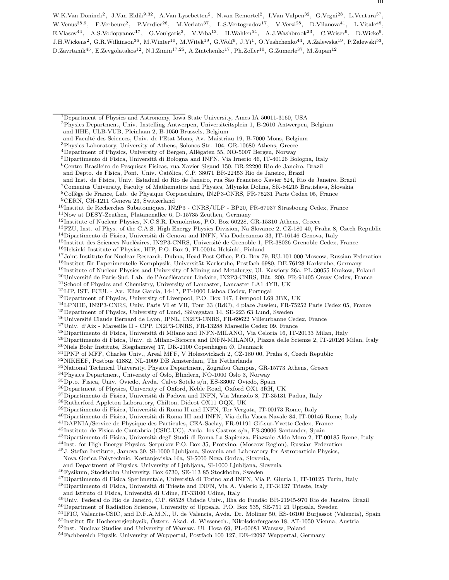W.K.Van Doninck<sup>2</sup>, J.Van Eldik<sup>9,32</sup>, A.Van Lysebetten<sup>2</sup>, N.van Remortel<sup>2</sup>, I.Van Vulpen<sup>32</sup>, G.Vegni<sup>28</sup>, L.Ventura<sup>37</sup>, W.Venus<sup>38,9</sup>, F.Verbeure<sup>2</sup>, P.Verdier<sup>26</sup>, M.Verlato<sup>37</sup>, L.S.Vertogradov<sup>17</sup>, V.Verzi<sup>28</sup>, D.Vilanova<sup>41</sup>, L.Vitale<sup>48</sup>, E.Vlasov<sup>44</sup>, A.S.Vodopyanov<sup>17</sup>, G.Voulgaris<sup>3</sup>, V.Vrba<sup>13</sup>, H.Wahlen<sup>54</sup>, A.J.Washbrook<sup>23</sup>, C.Weiser<sup>9</sup>, D.Wicke<sup>9</sup>, J.H.Wickens<sup>2</sup>, G.R.Wilkinson<sup>36</sup>, M.Winter<sup>10</sup>, M.Witek<sup>19</sup>, G.Wolf<sup>9</sup>, J.Yi<sup>1</sup>, O.Yushchenko<sup>44</sup>, A.Zalewska<sup>19</sup>, P.Zalewski<sup>53</sup>,  $D.Zavrtanik^{45}$ , E.Zevgolatakos<sup>12</sup>, N.I.Zimin<sup>17,25</sup>, A.Zintchenko<sup>17</sup>, Ph.Zoller<sup>10</sup>, G.Zumerle<sup>37</sup>, M.Zupan<sup>12</sup>

- <sup>6</sup>Centro Brasileiro de Pesquisas F´ısicas, rua Xavier Sigaud 150, BR-22290 Rio de Janeiro, Brazil
- and Depto. de Física, Pont. Univ. Católica, C.P. 38071 BR-22453 Rio de Janeiro, Brazil
- and Inst. de F´ısica, Univ. Estadual do Rio de Janeiro, rua S˜ao Francisco Xavier 524, Rio de Janeiro, Brazil
- <sup>7</sup>Comenius University, Faculty of Mathematics and Physics, Mlynska Dolina, SK-84215 Bratislava, Slovakia
- <sup>8</sup>Collège de France, Lab. de Physique Corpusculaire, IN2P3-CNRS, FR-75231 Paris Cedex 05, France
- <sup>9</sup>CERN, CH-1211 Geneva 23, Switzerland

- <sup>11</sup>Now at DESY-Zeuthen, Platanenallee 6, D-15735 Zeuthen, Germany
- <sup>12</sup>Institute of Nuclear Physics, N.C.S.R. Demokritos, P.O. Box 60228, GR-15310 Athens, Greece
- <sup>13</sup>FZU, Inst. of Phys. of the C.A.S. High Energy Physics Division, Na Slovance 2, CZ-180 40, Praha 8, Czech Republic
- $14$ Dipartimento di Fisica, Università di Genova and INFN, Via Dodecaneso 33, IT-16146 Genova, Italy

 $^{15}\rm{Institut}$ des Sciences Nucléaires, IN2P3-CNRS, Université de Grenoble 1, FR-38026 Grenoble Cedex, France

- <sup>16</sup>Helsinki Institute of Physics, HIP, P.O. Box 9, FI-00014 Helsinki, Finland
- <sup>17</sup>Joint Institute for Nuclear Research, Dubna, Head Post Office, P.O. Box 79, RU-101 000 Moscow, Russian Federation <sup>18</sup>Institut für Experimentelle Kernphysik, Universität Karlsruhe, Postfach 6980, DE-76128 Karlsruhe, Germany
- <sup>19</sup>Institute of Nuclear Physics and University of Mining and Metalurgy, Ul. Kawiory 26a, PL-30055 Krakow, Poland
- $^{20}$ Université de Paris-Sud, Lab. de l'Accélérateur Linéaire, IN2P3-CNRS, Bât. 200, FR-91405 Orsay Cedex, France
- <sup>21</sup>School of Physics and Chemistry, University of Lancaster, Lancaster LA1 4YB, UK
- $^{22}$ LIP, IST, FCUL Av. Elias Garcia, 14-1<sup>o</sup>, PT-1000 Lisboa Codex, Portugal
- <sup>23</sup>Department of Physics, University of Liverpool, P.O. Box 147, Liverpool L69 3BX, UK
- <sup>24</sup>LPNHE, IN2P3-CNRS, Univ. Paris VI et VII, Tour 33 (RdC), 4 place Jussieu, FR-75252 Paris Cedex 05, France
- $^{25}\rm{Department}$  of Physics, University of Lund, Sölvegatan 14, SE-223 63 Lund, Sweden

<sup>26</sup>Université Claude Bernard de Lyon, IPNL, IN2P3-CNRS, FR-69622 Villeurbanne Cedex, France

- $^{27}\rm{Univ.}$ d'Aix Marseille II CPP, IN2P3-CNRS, FR-13288 Marseille Cedex 09, France
- $^{28}$ Dipartimento di Fisica, Università di Milano and INFN-MILANO, Via Celoria 16, IT-20133 Milan, Italy
- <sup>29</sup>Dipartimento di Fisica, Univ. di Milano-Bicocca and INFN-MILANO, Piazza delle Scienze 2, IT-20126 Milan, Italy

 $^{30}{\rm Niels}$ Bohr Institute, Blegdamsvej 17, DK-2100 Copenhagen $\varnothing,$  Denmark

- <sup>31</sup>IPNP of MFF, Charles Univ., Areal MFF, V Holesovickach 2, CZ-180 00, Praha 8, Czech Republic
- <sup>32</sup>NIKHEF, Postbus 41882, NL-1009 DB Amsterdam, The Netherlands
- <sup>33</sup>National Technical University, Physics Department, Zografou Campus, GR-15773 Athens, Greece

<sup>34</sup>Physics Department, University of Oslo, Blindern, NO-1000 Oslo 3, Norway

- $\rm ^{35}Dpto.$  Fisica, Univ. Oviedo, Avda. Calvo Sotelo s/n, ES-33007 Oviedo, Spain
- <sup>36</sup>Department of Physics, University of Oxford, Keble Road, Oxford OX1 3RH, UK
- <sup>37</sup>Dipartimento di Fisica, Università di Padova and INFN, Via Marzolo 8, IT-35131 Padua, Italy
- <sup>38</sup>Rutherford Appleton Laboratory, Chilton, Didcot OX11 OQX, UK
- <sup>39</sup>Dipartimento di Fisica, Università di Roma II and INFN, Tor Vergata, IT-00173 Rome, Italy
- <sup>40</sup>Dipartimento di Fisica, Università di Roma III and INFN, Via della Vasca Navale 84, IT-00146 Rome, Italy
- <sup>41</sup>DAPNIA/Service de Physique des Particules, CEA-Saclay, FR-91191 Gif-sur-Yvette Cedex, France
- $^{42}\rm{Instituto}$ de Fisica de Cantabria (CSIC-UC), Avda. los Castros s/n, ES-39006 Santander, Spain
- <sup>43</sup>Dipartimento di Fisica, Università degli Studi di Roma La Sapienza, Piazzale Aldo Moro 2, IT-00185 Rome, Italy
- <sup>44</sup>Inst. for High Energy Physics, Serpukov P.O. Box 35, Protvino, (Moscow Region), Russian Federation
- <sup>45</sup>J. Stefan Institute, Jamova 39, SI-1000 Ljubljana, Slovenia and Laboratory for Astroparticle Physics, Nova Gorica Polytechnic, Kostanjeviska 16a, SI-5000 Nova Gorica, Slovenia,
- and Department of Physics, University of Ljubljana, SI-1000 Ljubljana, Slovenia
- $^{46}\rm{Fysikum},$  Stockholm University, Box 6730, SE-113 85 Stockholm, Sweden
- <sup>47</sup>Dipartimento di Fisica Sperimentale, Università di Torino and INFN, Via P. Giuria 1, IT-10125 Turin, Italy
- $^{48}{\rm Dipartimento}$ di Fisica, Università di Trieste and INFN, Via A. Valerio 2, IT-34127 Trieste, Italy
- and Istituto di Fisica, Università di Udine, IT-33100 Udine, Italy

<sup>49</sup>Univ. Federal do Rio de Janeiro, C.P. 68528 Cidade Univ., Ilha do Fundão BR-21945-970 Rio de Janeiro, Brazil <sup>50</sup>Department of Radiation Sciences, University of Uppsala, P.O. Box 535, SE-751 21 Uppsala, Sweden

- <sup>51</sup>IFIC, Valencia-CSIC, and D.F.A.M.N., U. de Valencia, Avda. Dr. Moliner 50, ES-46100 Burjassot (Valencia), Spain
- $52$ Institut für Hochenergiephysik, Österr. Akad. d. Wissensch., Nikolsdorfergasse 18, AT-1050 Vienna, Austria
- <sup>53</sup>Inst. Nuclear Studies and University of Warsaw, Ul. Hoza 69, PL-00681 Warsaw, Poland
- <sup>54</sup>Fachbereich Physik, University of Wuppertal, Postfach 100 127, DE-42097 Wuppertal, Germany

<sup>1</sup>Department of Physics and Astronomy, Iowa State University, Ames IA 50011-3160, USA <sup>2</sup>Physics Department, Univ. Instelling Antwerpen, Universiteitsplein 1, B-2610 Antwerpen, Belgium and IIHE, ULB-VUB, Pleinlaan 2, B-1050 Brussels, Belgium

and Faculté des Sciences, Univ. de l'Etat Mons, Av. Maistriau 19, B-7000 Mons, Belgium

<sup>3</sup>Physics Laboratory, University of Athens, Solonos Str. 104, GR-10680 Athens, Greece

<sup>&</sup>lt;sup>4</sup>Department of Physics, University of Bergen, Allégaten 55, NO-5007 Bergen, Norway

 $5$ Dipartimento di Fisica, Università di Bologna and INFN, Via Irnerio 46, IT-40126 Bologna, Italy

 $^{10}$ Institut de Recherches Subatomiques, IN2P3 - CNRS/ULP - BP20, FR-67037 Strasbourg Cedex, France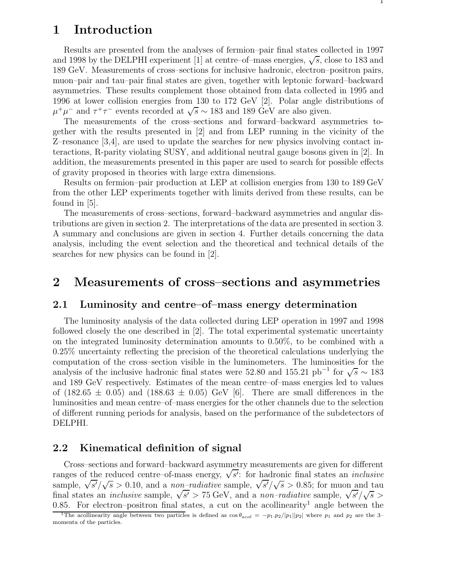## **1 Introduction**

Results are presented from the analyses of fermion–pair final states collected in 1997 and 1998 by the DELPHI experiment [1] at centre–of–mass energies,  $\sqrt{s}$ , close to 183 and 189 GeV. Measurements of cross–sections for inclusive hadronic, electron–positron pairs, muon–pair and tau–pair final states are given, together with leptonic forward–backward asymmetries. These results complement those obtained from data collected in 1995 and 1996 at lower collision energies from 130 to 172 GeV [2]. Polar angle distributions of  $\mu^+\mu^-$  and  $\tau^+\tau^-$  events recorded at  $\sqrt{s} \sim 183$  and 189 GeV are also given.

The measurements of the cross–sections and forward–backward asymmetries together with the results presented in [2] and from LEP running in the vicinity of the Z–resonance [3,4], are used to update the searches for new physics involving contact interactions, R-parity violating SUSY, and additional neutral gauge bosons given in [2]. In addition, the measurements presented in this paper are used to search for possible effects of gravity proposed in theories with large extra dimensions.

Results on fermion–pair production at LEP at collision energies from 130 to 189 GeV from the other LEP experiments together with limits derived from these results, can be found in [5].

The measurements of cross–sections, forward–backward asymmetries and angular distributions are given in section 2. The interpretations of the data are presented in section 3. A summary and conclusions are given in section 4. Further details concerning the data analysis, including the event selection and the theoretical and technical details of the searches for new physics can be found in [2].

## **2 Measurements of cross–sections and asymmetries**

## **2.1 Luminosity and centre–of–mass energy determination**

The luminosity analysis of the data collected during LEP operation in 1997 and 1998 followed closely the one described in [2]. The total experimental systematic uncertainty on the integrated luminosity determination amounts to 0.50%, to be combined with a 0.25% uncertainty reflecting the precision of the theoretical calculations underlying the computation of the cross–section visible in the luminometers. The luminosities for the analysis of the inclusive hadronic final states were 52.80 and 155.21 pb<sup>-1</sup> for  $\sqrt{s} \sim 183$ and 189 GeV respectively. Estimates of the mean centre–of–mass energies led to values of  $(182.65 \pm 0.05)$  and  $(188.63 \pm 0.05)$  GeV [6]. There are small differences in the luminosities and mean centre–of–mass energies for the other channels due to the selection of different running periods for analysis, based on the performance of the subdetectors of DELPHI.

## **2.2 Kinematical definition of signal**

Cross–sections and forward–backward asymmetry measurements are given for different ranges of the reduced centre–of-mass energy,  $\sqrt{s'}$ : for hadronic final states an *inclusive* sample,  $\sqrt{s'}/\sqrt{s} > 0.10$ , and a *non–radiative* sample,  $\sqrt{s'}/\sqrt{s} > 0.85$ ; for muon and tau final states an *inclusive* sample,  $\sqrt{s'} > 75$  GeV, and a *non–radiative* sample,  $\sqrt{s'}/\sqrt{s} > 75$  GeV, and a *non–radiative* sample,  $\sqrt{s'}/\sqrt{s} > 75$ 0.85. For electron–positron final states, a cut on the acollinearity<sup>1</sup> angle between the

The acollinearity angle between two particles is defined as  $\cos\theta_{acol} = -p_1 \cdot p_2/|p_1||p_2|$  where  $p_1$  and  $p_2$  are the 3– momenta of the particles.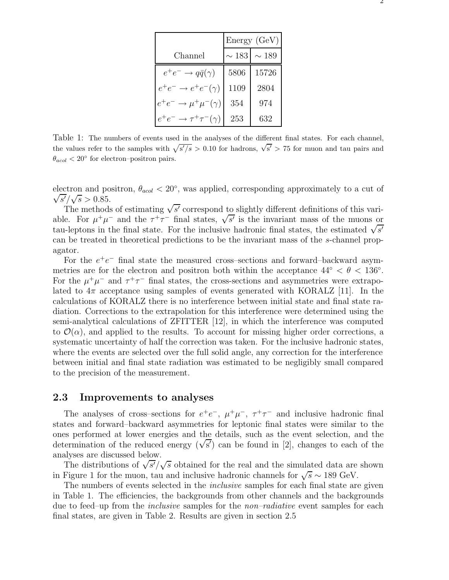|                                           | Energy(GeV) |            |  |
|-------------------------------------------|-------------|------------|--|
| Channel                                   | $\sim 183$  | $\sim 189$ |  |
| $e^+e^- \rightarrow q\bar{q}(\gamma)$     | 5806        | 15726      |  |
| $e^+e^- \rightarrow e^+e^-(\gamma)$       | 1109        | 2804       |  |
| $e^+e^- \rightarrow \mu^+\mu^-(\gamma)$   | 354         | 974        |  |
| $e^+e^- \rightarrow \tau^+\tau^-(\gamma)$ | 253         | 632        |  |

Table 1: The numbers of events used in the analyses of the different final states. For each channel, the values refer to the samples with  $\sqrt{s'/s} > 0.10$  for hadrons,  $\sqrt{s'} > 75$  for muon and tau pairs and  $\theta_{acol} < 20^{\circ}$  for electron–positron pairs.

electron and positron,  $\theta_{acol} < 20^{\circ}$ , was applied, corresponding approximately to a cut of  $\sqrt{s'}/\sqrt{s} > 0.85$ .

The methods of estimating  $\sqrt{s'}$  correspond to slightly different definitions of this variable. For  $\mu^+\mu^-$  and the  $\tau^+\tau^-$  final states,  $\sqrt{s'}$  is the invariant mass of the muons or tau-leptons in the final state. For the inclusive hadronic final states, the estimated  $\sqrt{s'}$ can be treated in theoretical predictions to be the invariant mass of the s-channel propagator.

For the  $e^+e^-$  final state the measured cross–sections and forward–backward asymmetries are for the electron and positron both within the acceptance  $44° < \theta < 136°$ . For the  $\mu^+\mu^-$  and  $\tau^+\tau^-$  final states, the cross-sections and asymmetries were extrapolated to  $4\pi$  acceptance using samples of events generated with KORALZ [11]. In the calculations of KORALZ there is no interference between initial state and final state radiation. Corrections to the extrapolation for this interference were determined using the semi-analytical calculations of ZFITTER [12], in which the interference was computed to  $\mathcal{O}(\alpha)$ , and applied to the results. To account for missing higher order corrections, a systematic uncertainty of half the correction was taken. For the inclusive hadronic states, where the events are selected over the full solid angle, any correction for the interference between initial and final state radiation was estimated to be negligibly small compared to the precision of the measurement.

#### **2.3 Improvements to analyses**

The analyses of cross–sections for  $e^+e^-$ ,  $\mu^+\mu^-$ ,  $\tau^+\tau^-$  and inclusive hadronic final states and forward–backward asymmetries for leptonic final states were similar to the ones performed at lower energies and the details, such as the event selection, and the determination of the reduced energy  $(\sqrt{s'})$  can be found in [2], changes to each of the analyses are discussed below.

The distributions of  $\sqrt{s'}/\sqrt{s}$  obtained for the real and the simulated data are shown in Figure 1 for the muon, tau and inclusive hadronic channels for  $\sqrt{s} \sim 189 \text{ GeV}$ .

The numbers of events selected in the *inclusive* samples for each final state are given in Table 1. The efficiencies, the backgrounds from other channels and the backgrounds due to feed–up from the *inclusive* samples for the *non–radiative* event samples for each final states, are given in Table 2. Results are given in section 2.5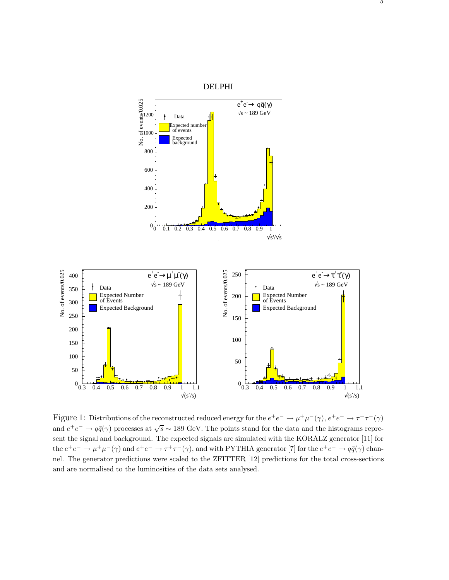

Figure 1: Distributions of the reconstructed reduced energy for the  $e^+e^- \to \mu^+\mu^-(\gamma)$ ,  $e^+e^- \to \tau^+\tau^-(\gamma)$ and  $e^+e^- \to q\bar{q}(\gamma)$  processes at  $\sqrt{s} \sim 189$  GeV. The points stand for the data and the histograms represent the signal and background. The expected signals are simulated with the KORALZ generator [11] for the  $e^+e^-\to \mu^+\mu^-(\gamma)$  and  $e^+e^-\to \tau^+\tau^-(\gamma)$ , and with PYTHIA generator [7] for the  $e^+e^-\to q\bar{q}(\gamma)$  channel. The generator predictions were scaled to the ZFITTER [12] predictions for the total cross-sections and are normalised to the luminosities of the data sets analysed.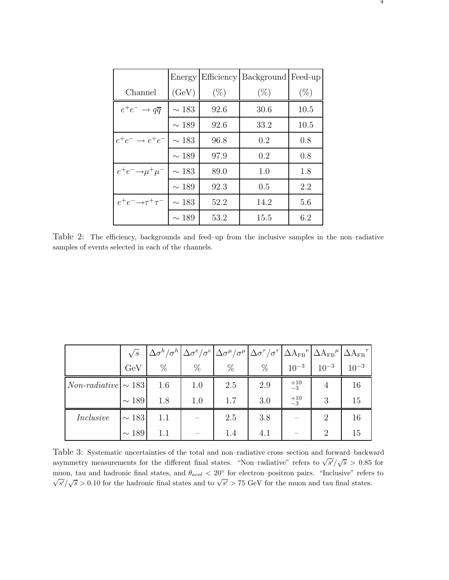|                                    | Energy     | Efficiency | Background Feed-up |        |
|------------------------------------|------------|------------|--------------------|--------|
| Channel                            | (GeV)      | $(\%)$     | $(\%)$             | $(\%)$ |
| $e^+e^- \rightarrow q\overline{q}$ | $\sim 183$ | 92.6       | 30.6               | 10.5   |
|                                    | $\sim$ 189 | 92.6       | 33.2               | 10.5   |
| $e^+e^- \rightarrow e^+e^-$        | $\sim 183$ | 96.8       | 0.2                | 0.8    |
|                                    | $\sim$ 189 | 97.9       | 0.2                | 0.8    |
| $e^+e^- \rightarrow \mu^+\mu^-$    | $\sim$ 183 | 89.0       | 1.0                | 1.8    |
|                                    | $\sim$ 189 | 92.3       | 0.5                | 2.2    |
| $e^+e^- \rightarrow \tau^+\tau^-$  | $\sim$ 183 | 52.2       | 14.2               | 5.6    |
|                                    | $\sim$ 189 | 53.2       | 15.5               | 6.2    |

Table 2: The efficiency, backgrounds and feed–up from the inclusive samples in the non–radiative samples of events selected in each of the channels.

|                          |            |      |      | $\sqrt{s}$ $\left  \Delta \sigma^h / \sigma^h \right  \Delta \sigma^e / \sigma^e \left  \Delta \sigma^\mu / \sigma^\mu \right  \Delta \sigma^\tau / \sigma^\tau \left  \Delta \text{A}_{\text{FB}}{}^e \right  \Delta \text{A}_{\text{FB}}{}^\mu \left  \Delta \text{A}_{\text{FB}}{}^\tau \right $ |      |               |           |           |
|--------------------------|------------|------|------|-----------------------------------------------------------------------------------------------------------------------------------------------------------------------------------------------------------------------------------------------------------------------------------------------------|------|---------------|-----------|-----------|
|                          | GeV        | $\%$ | $\%$ | $\%$                                                                                                                                                                                                                                                                                                | $\%$ | $10^{-3}$     | $10^{-3}$ | $10^{-3}$ |
| $Non-radiative \sim 183$ |            | 1.6  | 1.0  | 2.5                                                                                                                                                                                                                                                                                                 | 2.9  | $^{+10}_{-3}$ | 4         | 16        |
|                          | $\sim$ 189 | 1.8  | 1.0  | 1.7                                                                                                                                                                                                                                                                                                 | 3.0  | $^{+10}_{-3}$ | 3         | 15        |
| Inclusive                | $\sim 183$ | 1.1  |      | 2.5                                                                                                                                                                                                                                                                                                 | 3.8  |               | 2         | 16        |
|                          | $\sim 189$ | 1.1  |      | 1.4                                                                                                                                                                                                                                                                                                 | 4.1  |               | 2         | 15        |

Table 3: Systematic uncertainties of the total and non–radiative cross–section and forward–backward asymmetry measurements for the different final states. "Non–radiative" refers to  $\sqrt{s'}/\sqrt{s} > 0.85$  for muon, tau and hadronic final states, and  $\theta_{acol} < 20^{\circ}$  for electron–positron pairs. "Inclusive" refers to  $\sqrt{s'}/\sqrt{s}$  > 0.10 for the hadronic final states and to  $\sqrt{s'}$  > 75 GeV for the muon and tau final states.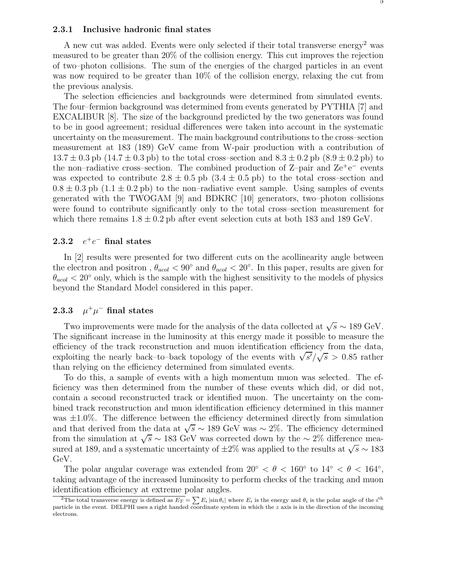#### **2.3.1 Inclusive hadronic final states**

A new cut was added. Events were only selected if their total transverse energy<sup>2</sup> was measured to be greater than 20% of the collision energy. This cut improves the rejection of two–photon collisions. The sum of the energies of the charged particles in an event was now required to be greater than 10% of the collision energy, relaxing the cut from the previous analysis.

The selection efficiencies and backgrounds were determined from simulated events. The four–fermion background was determined from events generated by PYTHIA [7] and EXCALIBUR [8]. The size of the background predicted by the two generators was found to be in good agreement; residual differences were taken into account in the systematic uncertainty on the measurement. The main background contributions to the cross–section measurement at 183 (189) GeV came from W-pair production with a contribution of  $13.7 \pm 0.3$  pb  $(14.7 \pm 0.3$  pb) to the total cross–section and  $8.3 \pm 0.2$  pb  $(8.9 \pm 0.2$  pb) to the non–radiative cross–section. The combined production of  $Z$ –pair and  $Ze^+e^-$  events was expected to contribute  $2.8 \pm 0.5$  pb  $(3.4 \pm 0.5$  pb) to the total cross–section and  $0.8 \pm 0.3$  pb  $(1.1 \pm 0.2$  pb) to the non-radiative event sample. Using samples of events generated with the TWOGAM [9] and BDKRC [10] generators, two–photon collisions were found to contribute significantly only to the total cross–section measurement for which there remains  $1.8 \pm 0.2$  pb after event selection cuts at both 183 and 189 GeV.

### 2.3.2  $e^+e^-$  final states

In [2] results were presented for two different cuts on the acollinearity angle between the electron and positron,  $\theta_{acol} < 90^{\circ}$  and  $\theta_{acol} < 20^{\circ}$ . In this paper, results are given for  $\theta_{acol}$  < 20° only, which is the sample with the highest sensitivity to the models of physics beyond the Standard Model considered in this paper.

### 2.3.3  $\mu^+\mu^-$  final states

Two improvements were made for the analysis of the data collected at  $\sqrt{s} \sim 189 \text{ GeV}$ . The significant increase in the luminosity at this energy made it possible to measure the efficiency of the track reconstruction and muon identification efficiency from the data, exploiting the nearly back–to–back topology of the events with  $\sqrt{s'}/\sqrt{s} > 0.85$  rather than relying on the efficiency determined from simulated events.

To do this, a sample of events with a high momentum muon was selected. The efficiency was then determined from the number of these events which did, or did not, contain a second reconstructed track or identified muon. The uncertainty on the combined track reconstruction and muon identification efficiency determined in this manner was  $\pm 1.0\%$ . The difference between the efficiency determined directly from simulation and that derived from the data at  $\sqrt{s} \sim 189$  GeV was ~ 2%. The efficiency determined from the simulation at  $\sqrt{s} \sim 183$  GeV was corrected down by the  $\sim 2\%$  difference measured at 189, and a systematic uncertainty of  $\pm 2\%$  was applied to the results at  $\sqrt{s} \sim 183$ GeV.

The polar angular coverage was extended from  $20^{\circ} < \theta < 160^{\circ}$  to  $14^{\circ} < \theta < 164^{\circ}$ , taking advantage of the increased luminosity to perform checks of the tracking and muon identification efficiency at extreme polar angles.

<sup>&</sup>lt;sup>2</sup>The total transverse energy is defined as  $E_T = \sum E_i |\sin \theta_i|$  where  $E_i$  is the energy and  $\theta_i$  is the polar angle of the i<sup>th</sup> particle in the event. DELPHI uses a right handed coordinate system in which the  $z$  axis is in the direction of the incoming electrons.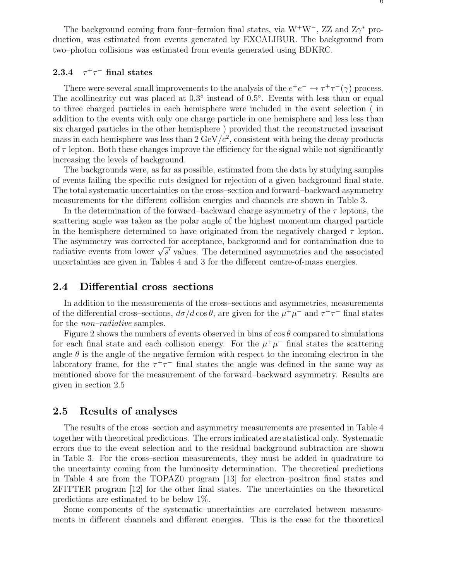The background coming from four–fermion final states, via  $W^+W^-$ , ZZ and  $Z\gamma^*$  production, was estimated from events generated by EXCALIBUR. The background from two–photon collisions was estimated from events generated using BDKRC.

## **2.3.4**  $\tau^+\tau^-$  final states

There were several small improvements to the analysis of the  $e^+e^- \to \tau^+\tau^-(\gamma)$  process. The acollinearity cut was placed at 0.3◦ instead of 0.5◦. Events with less than or equal to three charged particles in each hemisphere were included in the event selection ( in addition to the events with only one charge particle in one hemisphere and less less than six charged particles in the other hemisphere ) provided that the reconstructed invariant mass in each hemisphere was less than  $2 \text{ GeV}/c^2$ , consistent with being the decay products of  $\tau$  lepton. Both these changes improve the efficiency for the signal while not significantly increasing the levels of background.

The backgrounds were, as far as possible, estimated from the data by studying samples of events failing the specific cuts designed for rejection of a given background final state. The total systematic uncertainties on the cross–section and forward–backward asymmetry measurements for the different collision energies and channels are shown in Table 3.

In the determination of the forward–backward charge asymmetry of the  $\tau$  leptons, the scattering angle was taken as the polar angle of the highest momentum charged particle in the hemisphere determined to have originated from the negatively charged  $\tau$  lepton. The asymmetry was corrected for acceptance, background and for contamination due to radiative events from lower  $\sqrt{s'}$  values. The determined asymmetries and the associated uncertainties are given in Tables 4 and 3 for the different centre-of-mass energies.

### **2.4 Differential cross–sections**

In addition to the measurements of the cross–sections and asymmetries, measurements of the differential cross–sections,  $d\sigma/d\cos\theta$ , are given for the  $\mu^+\mu^-$  and  $\tau^+\tau^-$  final states for the *non–radiative* samples.

Figure 2 shows the numbers of events observed in bins of  $\cos \theta$  compared to simulations for each final state and each collision energy. For the  $\mu^+\mu^-$  final states the scattering angle  $\theta$  is the angle of the negative fermion with respect to the incoming electron in the laboratory frame, for the  $\tau^+\tau^-$  final states the angle was defined in the same way as mentioned above for the measurement of the forward–backward asymmetry. Results are given in section 2.5

## **2.5 Results of analyses**

The results of the cross–section and asymmetry measurements are presented in Table 4 together with theoretical predictions. The errors indicated are statistical only. Systematic errors due to the event selection and to the residual background subtraction are shown in Table 3. For the cross–section measurements, they must be added in quadrature to the uncertainty coming from the luminosity determination. The theoretical predictions in Table 4 are from the TOPAZ0 program [13] for electron–positron final states and ZFITTER program [12] for the other final states. The uncertainties on the theoretical predictions are estimated to be below 1%.

Some components of the systematic uncertainties are correlated between measurements in different channels and different energies. This is the case for the theoretical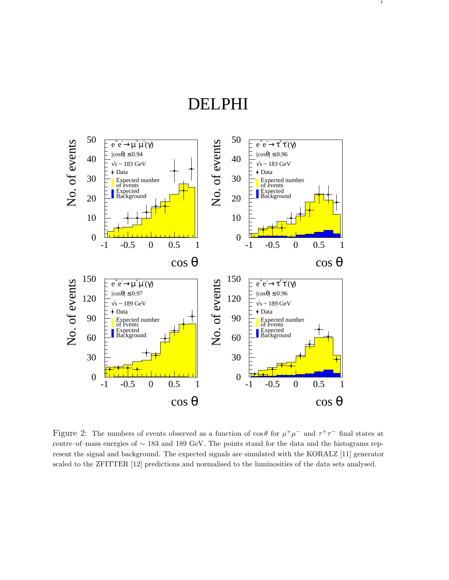7



Figure 2: The numbers of events observed as a function of  $\cos\theta$  for  $\mu^+\mu^-$  and  $\tau^+\tau^-$  final states at centre–of–mass energies of ∼ 183 and 189 GeV. The points stand for the data and the histograms represent the signal and background. The expected signals are simulated with the KORALZ [11] generator scaled to the ZFITTER [12] predictions and normalised to the luminosities of the data sets analysed.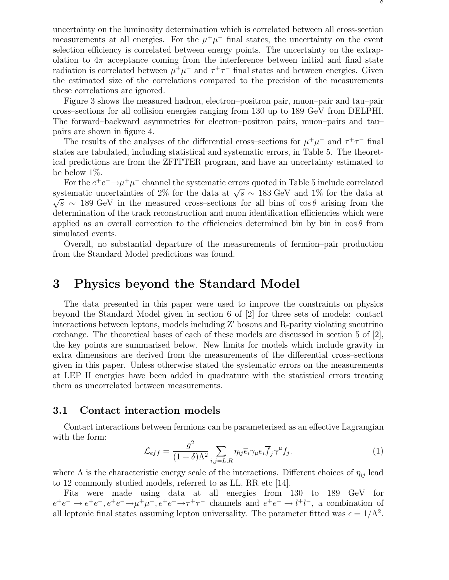uncertainty on the luminosity determination which is correlated between all cross-section measurements at all energies. For the  $\mu^+\mu^-$  final states, the uncertainty on the event selection efficiency is correlated between energy points. The uncertainty on the extrapolation to  $4\pi$  acceptance coming from the interference between initial and final state radiation is correlated between  $\mu^+\mu^-$  and  $\tau^+\tau^-$  final states and between energies. Given the estimated size of the correlations compared to the precision of the measurements these correlations are ignored.

Figure 3 shows the measured hadron, electron–positron pair, muon–pair and tau–pair cross–sections for all collision energies ranging from 130 up to 189 GeV from DELPHI. The forward–backward asymmetries for electron–positron pairs, muon–pairs and tau– pairs are shown in figure 4.

The results of the analyses of the differential cross–sections for  $\mu^+\mu^-$  and  $\tau^+\tau^-$  final states are tabulated, including statistical and systematic errors, in Table 5. The theoretical predictions are from the ZFITTER program, and have an uncertainty estimated to be below 1%.

For the  $e^+e^- \rightarrow \mu^+\mu^-$  channel the systematic errors quoted in Table 5 include correlated systematic uncertainties of 2% for the data at  $\sqrt{s} \sim 183 \text{ GeV}$  and 1% for the data at  $\sqrt{s}$  ∼ 189 GeV in the measured cross–sections for all bins of cos  $\theta$  arising from the determination of the track reconstruction and muon identification efficiencies which were applied as an overall correction to the efficiencies determined bin by bin in  $\cos \theta$  from simulated events.

Overall, no substantial departure of the measurements of fermion–pair production from the Standard Model predictions was found.

## **3 Physics beyond the Standard Model**

The data presented in this paper were used to improve the constraints on physics beyond the Standard Model given in section 6 of [2] for three sets of models: contact interactions between leptons, models including  $Z'$  bosons and R-parity violating sneutrino exchange. The theoretical bases of each of these models are discussed in section 5 of [2], the key points are summarised below. New limits for models which include gravity in extra dimensions are derived from the measurements of the differential cross–sections given in this paper. Unless otherwise stated the systematic errors on the measurements at LEP II energies have been added in quadrature with the statistical errors treating them as uncorrelated between measurements.

## **3.1 Contact interaction models**

Contact interactions between fermions can be parameterised as an effective Lagrangian with the form:

$$
\mathcal{L}_{eff} = \frac{g^2}{(1+\delta)\Lambda^2} \sum_{i,j=L,R} \eta_{ij} \overline{e}_i \gamma_\mu e_i \overline{f}_j \gamma^\mu f_j. \tag{1}
$$

where  $\Lambda$  is the characteristic energy scale of the interactions. Different choices of  $\eta_{ij}$  lead to 12 commonly studied models, referred to as LL, RR etc [14].

Fits were made using data at all energies from 130 to 189 GeV for  $e^+e^- \to e^+e^-, e^+e^- \to \mu^+\mu^-, e^+e^- \to \tau^+\tau^-$  channels and  $e^+e^- \to l^+l^-$ , a combination of all leptonic final states assuming lepton universality. The parameter fitted was  $\epsilon = 1/\Lambda^2$ .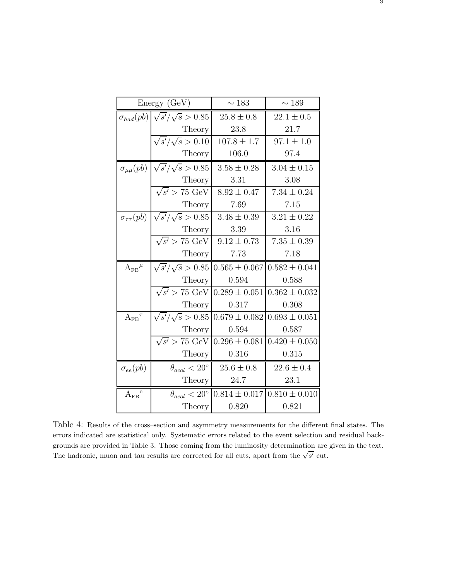|                                           | Energy (GeV)                                 | $\sim 183$                                                          | $\sim 189$        |
|-------------------------------------------|----------------------------------------------|---------------------------------------------------------------------|-------------------|
|                                           | $\sigma_{had}(pb) \sqrt{s'}/\sqrt{s} > 0.85$ | $25.8 \pm 0.8$                                                      | $22.1 \pm 0.5$    |
|                                           | Theory                                       | 23.8                                                                | 21.7              |
|                                           | $\sqrt{s'}/\sqrt{s} > 0.10$                  | $107.8 \pm 1.7$                                                     | $97.1 \pm 1.0$    |
|                                           | Theory                                       | 106.0                                                               | 97.4              |
| $\sigma_{\mu\mu}(pb)$                     | $\sqrt{s'}/\sqrt{s} > 0.85$                  | $3.58 \pm 0.28$                                                     | $3.04 \pm 0.15$   |
|                                           | Theory                                       | 3.31                                                                | 3.08              |
|                                           | $\sqrt{s'}$ > 75 GeV                         | $8.92 \pm 0.47$                                                     | $7.34 \pm 0.24$   |
|                                           | Theory                                       | 7.69                                                                | 7.15              |
| $\sigma_{\tau\tau}(pb)$                   | $\sqrt{s'}/\sqrt{s} > 0.85$                  | $3.48 \pm 0.39$                                                     | $3.21 \pm 0.22$   |
|                                           | <b>Theory</b>                                | 3.39                                                                | 3.16              |
|                                           | $\sqrt{s'}$ > 75 GeV                         | $9.12 \pm 0.73$                                                     | $7.35 \pm 0.39$   |
|                                           | <b>Theory</b>                                | 7.73                                                                | 7.18              |
| $A_{FB}{}^\mu$                            | $\sqrt{s'}/\sqrt{s} > 0.85$                  | $0.565 \pm 0.067$                                                   | $0.582 \pm 0.041$ |
|                                           | Theory                                       | 0.594                                                               | 0.588             |
|                                           | $\sqrt{s'}$ > 75 GeV                         | $0.289 \pm 0.051$                                                   | $0.362 \pm 0.032$ |
|                                           | <b>Theory</b>                                | 0.317                                                               | 0.308             |
| $A_{FB}{}^\tau$                           | $\sqrt{s'}/\sqrt{s} > 0.85$                  | $0.679 \pm 0.082$                                                   | $0.693 \pm 0.051$ |
|                                           | Theory                                       | 0.594                                                               | 0.587             |
|                                           | $\sqrt{s'}$ > 75 GeV                         | $0.296 \pm 0.081$                                                   | $0.420 \pm 0.050$ |
|                                           | <b>Theory</b>                                | 0.316                                                               | 0.315             |
| $\sigma_{ee}(pb)$                         | $\theta_{acol} < 20^{\circ}$                 | $25.6 \pm 0.8$                                                      | $22.6 \pm 0.4$    |
|                                           | Theory                                       | 24.7                                                                | 23.1              |
| $\ensuremath{\mathrm{A_{FB}}}^\mathrm{e}$ |                                              | $\theta_{acol}$ < 20° $\vert 0.814 \pm 0.017 \vert 0.810 \pm 0.010$ |                   |
|                                           | Theory                                       | 0.820                                                               | 0.821             |

Table 4: Results of the cross–section and asymmetry measurements for the different final states. The errors indicated are statistical only. Systematic errors related to the event selection and residual backgrounds are provided in Table 3. Those coming from the luminosity determination are given in the text. The hadronic, muon and tau results are corrected for all cuts, apart from the  $\sqrt{s'}$  cut.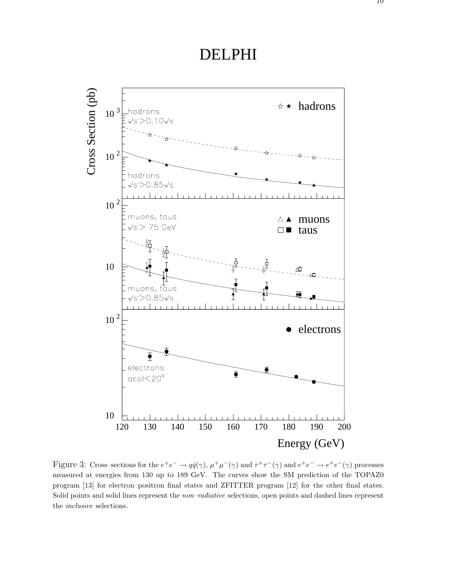

Figure 3: Cross–sections for the  $e^+e^- \to q\bar{q}(\gamma)$ ,  $\mu^+\mu^-(\gamma)$  and  $\tau^+\tau^-(\gamma)$  and  $e^+e^- \to e^+e^-(\gamma)$  processes measured at energies from 130 up to 189 GeV. The curves show the SM prediction of the TOPAZ0 program [13] for electron–positron final states and ZFITTER program [12] for the other final states. Solid points and solid lines represent the *non–radiative* selections, open points and dashed lines represent the *inclusive* selections.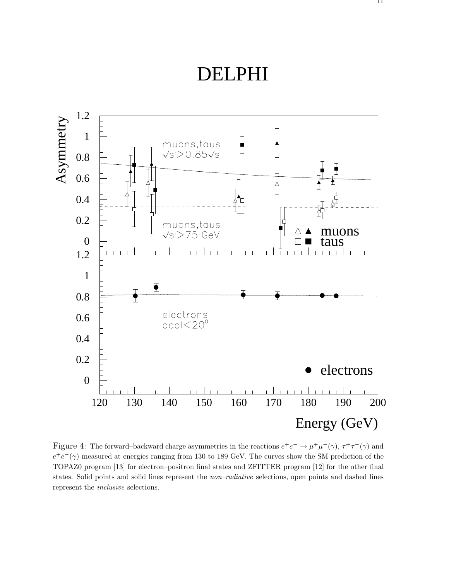

Figure 4: The forward–backward charge asymmetries in the reactions  $e^+e^- \to \mu^+\mu^-(\gamma)$ ,  $\tau^+\tau^-(\gamma)$  and  $e^+e^-(\gamma)$  measured at energies ranging from 130 to 189 GeV. The curves show the SM prediction of the TOPAZ0 program [13] for electron–positron final states and ZFITTER program [12] for the other final states. Solid points and solid lines represent the *non–radiative* selections, open points and dashed lines represent the *inclusive* selections.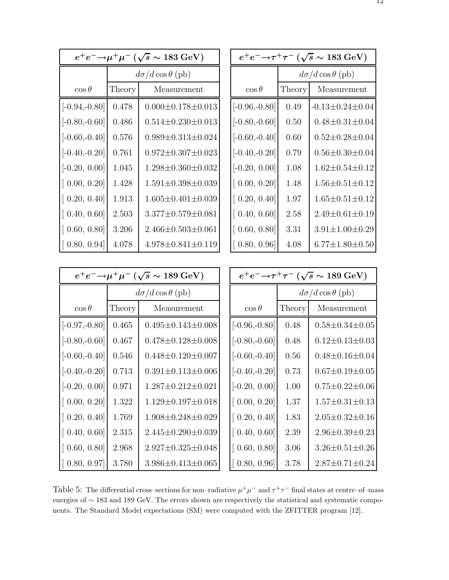| $e^+e^-\!\!\rightarrow\!\!\mu^+\mu^-\,(\sqrt{s}\sim 183\,\mathrm{GeV})$ |        |                                                                    |                 |        | $e^+e^-\!\!\rightarrow\!\! \tau^+\tau^ (\sqrt{s}\sim 183\text{ GeV})$ |
|-------------------------------------------------------------------------|--------|--------------------------------------------------------------------|-----------------|--------|-----------------------------------------------------------------------|
|                                                                         |        | $d\sigma/d\cos\theta$ (pb)                                         |                 |        | $d\sigma/d\cos\theta$ (pb)                                            |
| $\cos\theta$                                                            | Theory | Measurement                                                        | $\cos \theta$   | Theory | Measurement                                                           |
| $[-0.94,-0.80]$                                                         | 0.478  | $0.000 \pm 0.178 \pm 0.013$                                        | $[-0.96,-0.80]$ | 0.49   | $-0.13 \pm 0.24 \pm 0.04$                                             |
| $[-0.80,-0.60]$                                                         | 0.486  | $0.514 \pm 0.230 \pm 0.013$                                        | $[-0.80,-0.60]$ | 0.50   | $0.48 \pm 0.31 \pm 0.04$                                              |
| $[-0.60,-0.40]$                                                         | 0.576  | $0.989 \pm 0.313 \pm 0.024$                                        | $[-0.60,-0.40]$ | 0.60   | $0.52 \pm 0.28 \pm 0.04$                                              |
| $[-0.40,-0.20]$                                                         | 0.761  | $0.972 \pm 0.307 \pm 0.023$                                        | $[-0.40,-0.20]$ | 0.79   | $0.56 \pm 0.30 \pm 0.04$                                              |
| $[-0.20, 0.00]$                                                         | 1.045  | $1.298 \pm 0.360 \pm 0.032$                                        | $[-0.20, 0.00]$ | 1.08   | $1.62 \pm 0.54 \pm 0.12$                                              |
| [0.00, 0.20]                                                            | 1.428  | $1.591 \pm 0.398 \pm 0.039$                                        | [0.00, 0.20]    | 1.48   | $1.56 \pm 0.51 \pm 0.12$                                              |
| [0.20, 0.40]                                                            | 1.913  | $1.605 \pm 0.401 \pm 0.039$                                        | [0.20, 0.40]    | 1.97   | $1.65 \pm 0.51 \pm 0.12$                                              |
| [0.40, 0.60]                                                            | 2.503  | $3.377 \pm 0.579 \pm 0.081$                                        | [0.40, 0.60]    | 2.58   | $2.49 \pm 0.61 \pm 0.19$                                              |
| [0.60, 0.80]                                                            | 3.206  | $2.466 \pm 0.503 \pm 0.061$                                        | [0.60, 0.80]    | 3.31   | $3.91 \pm 1.00 \pm 0.29$                                              |
| [0.80, 0.94]                                                            | 4.078  | $4.978 \pm 0.841 \pm 0.119$                                        | [0.80, 0.96]    | 4.08   | $6.77 \pm 1.80 \pm 0.50$                                              |
|                                                                         |        |                                                                    |                 |        |                                                                       |
|                                                                         |        | $e^+e^-\rightarrow \mu^+\mu^-$ ( $\sqrt{s}\sim 189\,\mathrm{GeV})$ |                 |        | $e^+e^-\rightarrow \tau^+\tau^-$ ( $\sqrt{s}\sim 189\ {\rm GeV})$     |
|                                                                         |        | $d\sigma/d\cos\theta$ (pb)                                         |                 |        | $d\sigma/d\cos\theta$ (pb)                                            |
| $\cos\theta$                                                            | Theory | Measurement                                                        | $\cos \theta$   | Theory | Measurement                                                           |
| $[-0.97,-0.80]$                                                         | 0.465  | $0.495 \pm 0.143 \pm 0.008$                                        | $[-0.96,-0.80]$ | 0.48   | $0.58 \pm 0.34 \pm 0.05$                                              |
| $[-0.80,-0.60]$                                                         | 0.467  | $0.478{\pm0.128}{\pm0.008}$                                        | $[-0.80,-0.60]$ | 0.48   | $0.12 \pm 0.13 \pm 0.03$                                              |
| $[-0.60,-0.40]$                                                         | 0.546  | $0.448 \pm 0.120 \pm 0.007$                                        | $[-0.60,-0.40]$ | 0.56   | $0.48 \pm 0.16 \pm 0.04$                                              |
| $[-0.40,-0.20]$                                                         | 0.713  | $0.391 \pm 0.113 \pm 0.006$                                        | $[-0.40,-0.20]$ | 0.73   | $0.67 \pm 0.19 \pm 0.05$                                              |
| $[-0.20, 0.00]$                                                         | 0.971  | $1.287 \pm 0.212 \pm 0.021$                                        | $[-0.20, 0.00]$ | 1.00   | $0.75 \pm 0.22 \pm 0.06$                                              |
| [0.00, 0.20]                                                            | 1.322  | $1.129 \pm 0.197 \pm 0.018$                                        | [0.00, 0.20]    | 1.37   | $1.57 \pm 0.31 \pm 0.13$                                              |
| [0.20, 0.40]                                                            | 1.769  | $1.908 \pm 0.248 \pm 0.029$                                        | [0.20, 0.40]    | 1.83   | $2.05 \pm 0.32 \pm 0.16$                                              |

Table 5: The differential cross–sections for non–radiative  $\mu^+\mu^-$  and  $\tau^+\tau^-$  final states at centre–of–mass energies of ∼ 183 and 189 GeV. The errors shown are respectively the statistical and systematic components. The Standard Model expectations (SM) were computed with the ZFITTER program [12].

 $\begin{bmatrix} 0.40, 0.60 \end{bmatrix}$  2.39  $\begin{bmatrix} 2.96 \pm 0.39 \pm 0.23 \end{bmatrix}$ 

 $\begin{bmatrix} 0.60, 0.80 \end{bmatrix}$  3.06  $\begin{bmatrix} 3.26 \pm 0.51 \pm 0.26 \end{bmatrix}$ 

 $[0.80, 0.96]$  3.78  $\begin{array}{|c|c|c|c|c|c|c|c|c|c|c|} \hline 3.78 & 2.87 \pm 0.71 \pm 0.24 \\ \hline \end{array}$ 

 $\begin{array}{|c|c|c|c|c|c|c|c|} \hline 0.40, & 0.60 & 2.315 & 2.445 \pm 0.290 \pm 0.039 \\ \hline \end{array}$ 

 $[0.60, 0.80]$  2.968  $\Big| 2.927 \pm 0.325 \pm 0.048$ 

 $[0.80, 0.97]$  3.780  $\left( 3.986 \pm 0.413 \pm 0.065 \right)$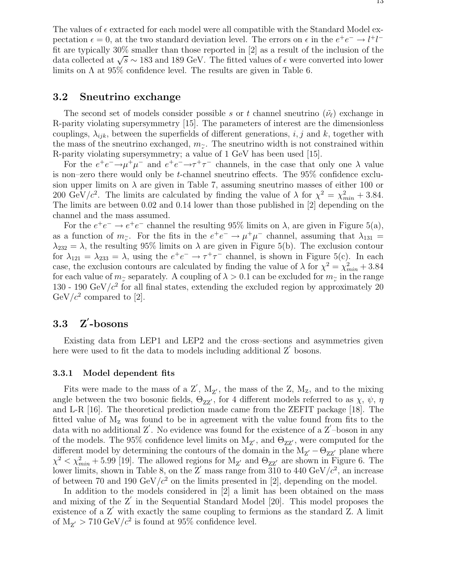## **3.2 Sneutrino exchange**

The second set of models consider possible s or t channel sneutrino  $(\tilde{\nu}_{\ell})$  exchange in R-parity violating supersymmetry [15]. The parameters of interest are the dimensionless couplings,  $\lambda_{ijk}$ , between the superfields of different generations, i, j and k, together with the mass of the sneutrino exchanged,  $m_{\tilde{\nu}}$ . The sneutrino width is not constrained within R-parity violating supersymmetry; a value of 1 GeV has been used [15].

For the  $e^+e^- \rightarrow \mu^+\mu^-$  and  $e^+e^- \rightarrow \tau^+\tau^-$  channels, in the case that only one  $\lambda$  value is non–zero there would only be *t*-channel sneutrino effects. The  $95\%$  confidence exclusion upper limits on  $\lambda$  are given in Table 7, assuming sneutrino masses of either 100 or 200 GeV/ $c^2$ . The limits are calculated by finding the value of  $\lambda$  for  $\chi^2 = \chi^2_{min} + 3.84$ . The limits are between 0.02 and 0.14 lower than those published in [2] depending on the channel and the mass assumed.

For the  $e^+e^- \rightarrow e^+e^-$  channel the resulting 95% limits on  $\lambda$ , are given in Figure 5(a), as a function of  $m_{\tilde{\nu}}$ . For the fits in the  $e^+e^- \to \mu^+\mu^-$  channel, assuming that  $\lambda_{131} =$  $\lambda_{232} = \lambda$ , the resulting 95% limits on  $\lambda$  are given in Figure 5(b). The exclusion contour for  $\lambda_{121} = \lambda_{233} = \lambda$ , using the  $e^+e^- \rightarrow \tau^+\tau^-$  channel, is shown in Figure 5(c). In each case, the exclusion contours are calculated by finding the value of  $\lambda$  for  $\chi^2 = \chi^2_{min} + 3.84$ for each value of  $m_{\gamma}$  separately. A coupling of  $\lambda > 0.1$  can be excluded for  $m_{\gamma}$  in the range 130 - 190  $\text{GeV}/c^2$  for all final states, extending the excluded region by approximately 20  $GeV/c^2$  compared to [2].

#### **3.3 Z***<sup>0</sup>* **-bosons**

Existing data from LEP1 and LEP2 and the cross–sections and asymmetries given here were used to fit the data to models including additional  $Z'$  bosons.

#### **3.3.1 Model dependent fits**

Fits were made to the mass of a  $Z'$ ,  $M_{Z'}$ , the mass of the Z,  $M_Z$ , and to the mixing angle between the two bosonic fields,  $\Theta_{ZZ'}$ , for 4 different models referred to as  $\chi$ ,  $\psi$ ,  $\eta$ and L-R [16]. The theoretical prediction made came from the ZEFIT package [18]. The fitted value of  $M<sub>z</sub>$  was found to be in agreement with the value found from fits to the data with no additional  $Z'$ . No evidence was found for the existence of a  $Z'-$ boson in any of the models. The 95% confidence level limits on  $M_{Z}$ , and  $\Theta_{ZZ}$ , were computed for the different model by determining the contours of the domain in the  $M_{Z'} - \Theta_{ZZ'}$  plane where  $\chi^2 < \chi^2_{min} + 5.99$  [19]. The allowed regions for  $M_{Z'}$  and  $\Theta_{ZZ'}$  are shown in Figure 6. The lower limits, shown in Table 8, on the Z' mass range from 310 to 440 GeV/ $c^2$ , an increase of between 70 and 190 GeV/ $c^2$  on the limits presented in [2], depending on the model.

In addition to the models considered in [2] a limit has been obtained on the mass and mixing of the  $Z'$  in the Sequential Standard Model [20]. This model proposes the existence of a  $Z'$  with exactly the same coupling to fermions as the standard  $Z$ . A limit of  $M_{Z'} > 710 \text{ GeV}/c^2$  is found at 95% confidence level.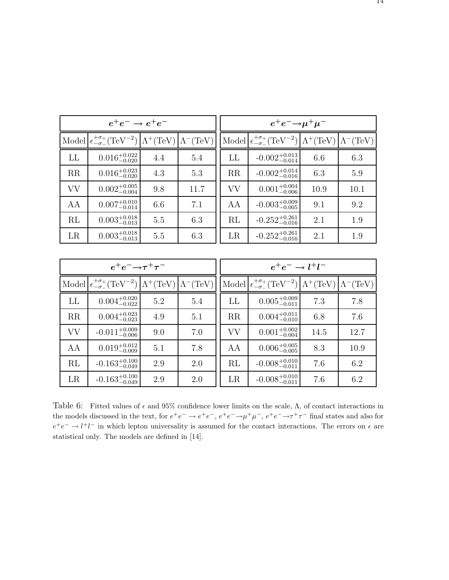| $e^+e^- \rightarrow e^+e^-$ |                                                                                                                                             |     |      |    | $e^+e^-\rightarrow \mu^+\mu^-$                                                                                                   |      |      |
|-----------------------------|---------------------------------------------------------------------------------------------------------------------------------------------|-----|------|----|----------------------------------------------------------------------------------------------------------------------------------|------|------|
|                             | Model $\left \frac{\epsilon^{+\sigma_+}}{\epsilon^{-\sigma_+}} (\text{TeV}^{-2})\right  \Lambda^+(\text{TeV})\right  \Lambda^-(\text{TeV})$ |     |      |    | Model $\left \frac{\epsilon-\sigma}{\epsilon-\sigma}(\text{TeV}^{-2})\right  \Lambda^+(\text{TeV})\right  \Lambda^-(\text{TeV})$ |      |      |
| LL                          | $0.016_{-0.020}^{+0.022}$                                                                                                                   | 4.4 | 5.4  | LL | $-0.002^{+0.013}_{-0.014}$                                                                                                       | 6.6  | 6.3  |
| RR                          | $0.016_{-0.020}^{+0.023}$                                                                                                                   | 4.3 | 5.3  | RR | $-0.002^{+0.014}_{-0.016}$                                                                                                       | 6.3  | 5.9  |
| <b>VV</b>                   | $0.002^{+0.005}_{-0.004}$                                                                                                                   | 9.8 | 11.7 | VV | $0.001^{+0.004}_{-0.006}$                                                                                                        | 10.9 | 10.1 |
| AA                          | $0.007^{+0.010}_{-0.014}$                                                                                                                   | 6.6 | 7.1  | AA | $-0.003^{+0.009}_{-0.005}$                                                                                                       | 9.1  | 9.2  |
| RL                          | $0.003_{-0.013}^{+0.018}$                                                                                                                   | 5.5 | 6.3  | RL | $-0.252^{+0.261}_{-0.016}$                                                                                                       | 2.1  | 1.9  |
| LR                          | $0.003_{-0.013}^{+0.018}$                                                                                                                   | 5.5 | 6.3  | LR | $-0.252^{+0.261}_{-0.016}$                                                                                                       | 2.1  | 1.9  |
|                             |                                                                                                                                             |     |      |    |                                                                                                                                  |      |      |

|           | $e^+e^-\rightarrow \tau^+\tau^-$                                                                                                                                        |     |     |    | $e^+e^- \rightarrow l^+l^-$                                                                                                                                             |      |      |
|-----------|-------------------------------------------------------------------------------------------------------------------------------------------------------------------------|-----|-----|----|-------------------------------------------------------------------------------------------------------------------------------------------------------------------------|------|------|
|           | Model $\left \frac{\epsilon^{+\sigma_+}_{-\sigma_-}(\text{TeV}^{-2})}{\epsilon^{-\sigma_-}(\text{TeV})}\right  \Lambda^+(\text{TeV})\left \Lambda^-(\text{TeV})\right $ |     |     |    | Model $\left \frac{\epsilon^{+\sigma_+}_{-\sigma_-}(\text{TeV}^{-2})}{\epsilon^{-\sigma_-}(\text{TeV})}\right  \Lambda^+(\text{TeV})\left \Lambda^-(\text{TeV})\right $ |      |      |
| LL        | $0.004^{+0.020}_{-0.022}$                                                                                                                                               | 5.2 | 5.4 | LL | $0.005^{+0.009}_{-0.011}$                                                                                                                                               | 7.3  | 7.8  |
| RR        | $0.004^{+0.023}_{-0.023}$                                                                                                                                               | 4.9 | 5.1 | RR | $0.004^{+0.011}_{-0.010}$                                                                                                                                               | 6.8  | 7.6  |
| <b>VV</b> | $-0.011^{+0.009}_{-0.006}$                                                                                                                                              | 9.0 | 7.0 | VV | $0.001^{+0.002}_{-0.004}$                                                                                                                                               | 14.5 | 12.7 |
| AA        | $0.019_{-0.009}^{+0.012}$                                                                                                                                               | 5.1 | 7.8 | AA | $0.006^{+0.005}_{-0.005}$                                                                                                                                               | 8.3  | 10.9 |
| RL        | $-0.163^{+0.100}_{-0.049}$                                                                                                                                              | 2.9 | 2.0 | RL | $-0.008^{+0.010}_{-0.011}$                                                                                                                                              | 7.6  | 6.2  |
| LR        | $-0.163^{+0.100}_{-0.049}$                                                                                                                                              | 2.9 | 2.0 | LR | $-0.008^{+0.010}_{-0.011}$                                                                                                                                              | 7.6  | 6.2  |

Table 6: Fitted values of  $\epsilon$  and 95% confidence lower limits on the scale,  $\Lambda$ , of contact interactions in the models discussed in the text, for  $e^+e^- \to e^+e^-$ ,  $e^+e^- \to \mu^+\mu^-$ ,  $e^+e^- \to \tau^+\tau^-$  final states and also for  $e^+e^-\rightarrow l^+l^-$  in which lepton universality is assumed for the contact interactions. The errors on  $\epsilon$  are statistical only. The models are defined in [14].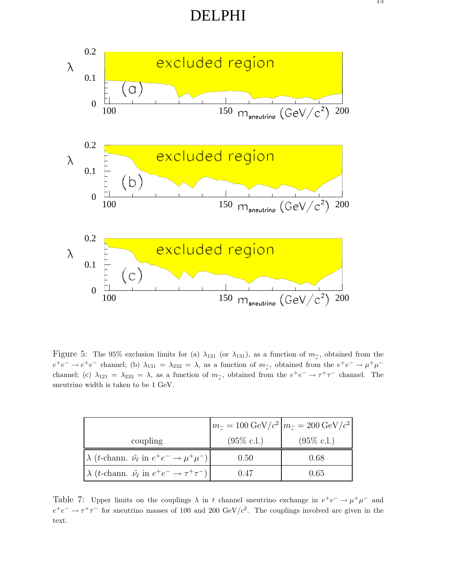DELPHI



Figure 5: The 95% exclusion limits for (a)  $\lambda_{121}$  (or  $\lambda_{131}$ ), as a function of  $m_{\tilde{\nu}}$ , obtained from the  $e^+e^- \to e^+e^-$  channel; (b)  $\lambda_{131} = \lambda_{232} = \lambda$ , as a function of  $m_\gamma$ , obtained from the  $e^+e^- \to \mu^+\mu^$ channel; (c)  $\lambda_{121} = \lambda_{233} = \lambda$ , as a function of  $m_{\tilde{\nu}}$ , obtained from the  $e^+e^- \to \tau^+\tau^-$  channel. The sneutrino width is taken to be 1 GeV.

|                                                                                          |                       | $\left  m_{\tilde{\nu}} = 100 \,\text{GeV}/c^2 \right  m_{\tilde{\nu}} = 200 \,\text{GeV}/c^2 \right $ |
|------------------------------------------------------------------------------------------|-----------------------|--------------------------------------------------------------------------------------------------------|
| coupling                                                                                 | $(95\% \text{ c.l.})$ | $(95\% \text{ c.l.})$                                                                                  |
| $\lambda$ ( <i>t</i> -chann. $\tilde{\nu}_{\ell}$ in $e^+e^- \rightarrow \mu^+\mu^-$ )   | 0.50                  | 0.68                                                                                                   |
| $\lambda$ ( <i>t</i> -chann. $\tilde{\nu}_{\ell}$ in $e^+e^- \rightarrow \tau^+\tau^-$ ) | 0.47                  | 0.65                                                                                                   |

Table 7: Upper limits on the couplings  $\lambda$  in t channel sneutrino exchange in  $e^+e^- \to \mu^+\mu^-$  and  $e^+e^- \rightarrow \tau^+\tau^-$  for sneutrino masses of 100 and 200 GeV/c<sup>2</sup>. The couplings involved are given in the text.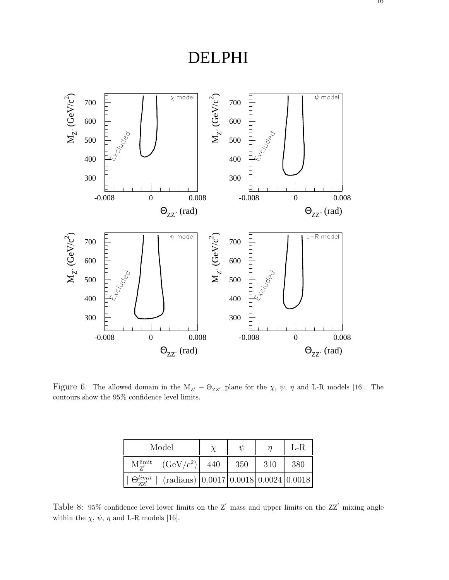

Figure 6: The allowed domain in the  $M_{Z'} - \Theta_{ZZ'}$  plane for the  $\chi$ ,  $\psi$ ,  $\eta$  and L-R models [16]. The contours show the 95% confidence level limits.

|                                  | Model                                                    |     | $\eta$ |     | $L-R$ |
|----------------------------------|----------------------------------------------------------|-----|--------|-----|-------|
| $M_{\rm z}^{\rm limit}$          | $(GeV/c^2)$                                              | 440 | 350    | 310 | 380   |
| $\Theta_{\bm{r}\bm{r}'}^{limit}$ | $(\text{radians})$ $(0.0017   0.0018   0.0024   0.0018)$ |     |        |     |       |

Table 8: 95% confidence level lower limits on the  $Z'$  mass and upper limits on the  $ZZ'$  mixing angle within the  $\chi,\,\psi,\,\eta$  and L-R models [16].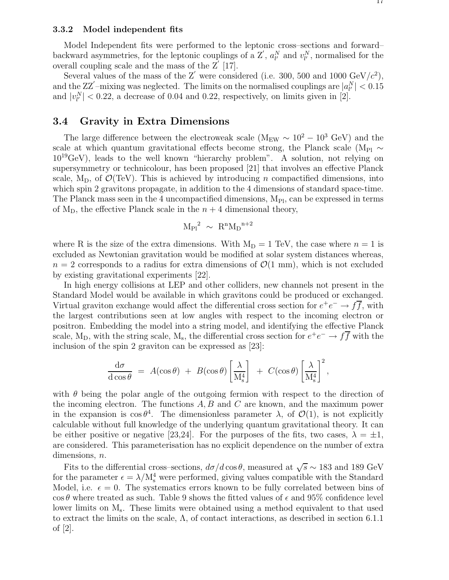#### **3.3.2 Model independent fits**

Model Independent fits were performed to the leptonic cross–sections and forward– backward asymmetries, for the leptonic couplings of a Z',  $a_{l'}^N$  and  $v_{l'}^N$ , normalised for the overall coupling scale and the mass of the  $Z'$  [17].

Several values of the mass of the Z' were considered (i.e. 300, 500 and 1000  $\text{GeV}/c^2$ ), and the ZZ'-mixing was neglected. The limits on the normalised couplings are  $|a_{l'}^N| < 0.15$ and  $|v^N_{l'}|$  < 0.22, a decrease of 0.04 and 0.22, respectively, on limits given in [2].

## **3.4 Gravity in Extra Dimensions**

The large difference between the electroweak scale ( $M_{EW} \sim 10^2 - 10^3$  GeV) and the scale at which quantum gravitational effects become strong, the Planck scale (M<sub>Pl</sub>  $\sim$  $10^{19}$ GeV), leads to the well known "hierarchy problem". A solution, not relying on supersymmetry or technicolour, has been proposed [21] that involves an effective Planck scale,  $M_D$ , of  $\mathcal{O}(TeV)$ . This is achieved by introducing n compactified dimensions, into which spin 2 gravitons propagate, in addition to the 4 dimensions of standard space-time. The Planck mass seen in the 4 uncompactified dimensions,  $M_{\rm Pl}$ , can be expressed in terms of  $M_D$ , the effective Planck scale in the  $n + 4$  dimensional theory,

$$
{M_{\rm Pl}}^2~\sim~R^n{M_{\rm D}}^{n+2}
$$

where R is the size of the extra dimensions. With  $M_D = 1$  TeV, the case where  $n = 1$  is excluded as Newtonian gravitation would be modified at solar system distances whereas,  $n = 2$  corresponds to a radius for extra dimensions of  $\mathcal{O}(1 \text{ mm})$ , which is not excluded by existing gravitational experiments [22].

In high energy collisions at LEP and other colliders, new channels not present in the Standard Model would be available in which gravitons could be produced or exchanged. Virtual graviton exchange would affect the differential cross section for  $e^+e^- \to f\bar{f}$ , with the largest contributions seen at low angles with respect to the incoming electron or positron. Embedding the model into a string model, and identifying the effective Planck scale, M<sub>D</sub>, with the string scale, M<sub>s</sub>, the differential cross section for  $e^+e^- \to f\overline{f}$  with the inclusion of the spin 2 graviton can be expressed as [23]:

$$
\frac{\mathrm{d}\sigma}{\mathrm{d}\cos\theta} = A(\cos\theta) + B(\cos\theta) \left[\frac{\lambda}{M_s^4}\right] + C(\cos\theta) \left[\frac{\lambda}{M_s^4}\right]^2,
$$

with  $\theta$  being the polar angle of the outgoing fermion with respect to the direction of the incoming electron. The functions  $A, B$  and  $C$  are known, and the maximum power in the expansion is  $\cos \theta^4$ . The dimensionless parameter  $\lambda$ , of  $\mathcal{O}(1)$ , is not explicitly calculable without full knowledge of the underlying quantum gravitational theory. It can be either positive or negative [23,24]. For the purposes of the fits, two cases,  $\lambda = \pm 1$ , are considered. This parameterisation has no explicit dependence on the number of extra dimensions,  $n$ .

Fits to the differential cross–sections,  $d\sigma/d\cos\theta$ , measured at  $\sqrt{s} \sim 183$  and 189 GeV for the parameter  $\epsilon = \lambda/M_s^4$  were performed, giving values compatible with the Standard Model, i.e.  $\epsilon = 0$ . The systematics errors known to be fully correlated between bins of  $\cos \theta$  where treated as such. Table 9 shows the fitted values of  $\epsilon$  and 95% confidence level lower limits on  $M_s$ . These limits were obtained using a method equivalent to that used to extract the limits on the scale,  $\Lambda$ , of contact interactions, as described in section 6.1.1 of [2].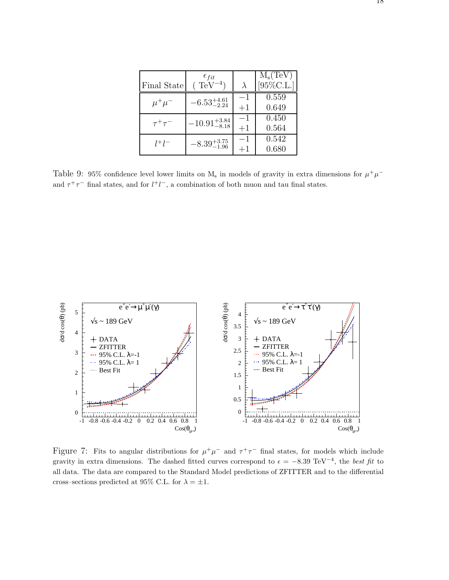| Final State    | $\epsilon_{fit}$<br>$TeV^{-4}$ | $\lambda$    | $M_s(TeV)$<br>$[95\%$ C.L. |
|----------------|--------------------------------|--------------|----------------------------|
| $\mu^+\mu^-$   | $-6.53_{-2.24}^{+4.61}$        | $-1$<br>$+1$ | 0.559<br>0.649             |
| $\tau^+\tau^-$ | $-10.91_{-8.18}^{+3.84}$       | $-1$<br>$+1$ | 0.450<br>0.564             |
| $l^{+}l^{-}$   | $-8.39_{-1.96}^{+3.75}$        | —1<br>$+1$   | 0.542<br>0.680             |

Table 9: 95% confidence level lower limits on  $M_s$  in models of gravity in extra dimensions for  $\mu^+\mu^$ and  $\tau^+\tau^-$  final states, and for  $l^+l^-$ , a combination of both muon and tau final states.



Figure 7: Fits to angular distributions for  $\mu^+\mu^-$  and  $\tau^+\tau^-$  final states, for models which include gravity in extra dimensions. The dashed fitted curves correspond to  $\epsilon = -8.39 \text{ TeV}^{-4}$ , the *best fit* to all data. The data are compared to the Standard Model predictions of ZFITTER and to the differential cross–sections predicted at 95% C.L. for  $\lambda = \pm 1$ .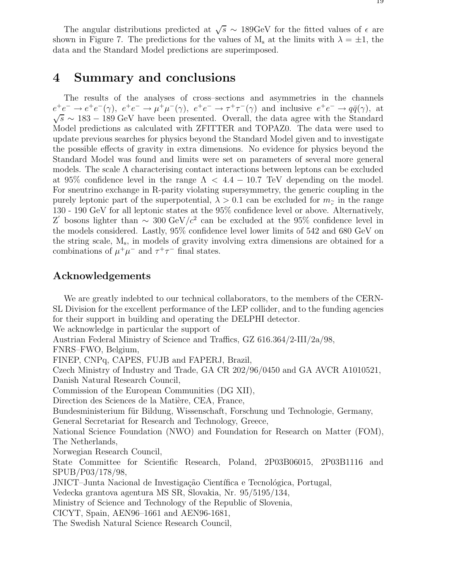19

The angular distributions predicted at  $\sqrt{s} \sim 189 \text{GeV}$  for the fitted values of  $\epsilon$  are shown in Figure 7. The predictions for the values of  $M_s$  at the limits with  $\lambda = \pm 1$ , the data and the Standard Model predictions are superimposed.

## **4 Summary and conclusions**

The results of the analyses of cross–sections and asymmetries in the channels  $e^+e^- \to e^+e^-(\gamma)$ ,  $e^+e^- \to \mu^+\mu^-(\gamma)$ ,  $e^+e^- \to \tau^+\tau^-(\gamma)$  and inclusive  $e^+e^- \to q\bar{q}(\gamma)$ , at  $\sqrt{s}$  ~ 183 – 189 GeV have been presented. Overall, the data agree with the Standard Model predictions as calculated with ZFITTER and TOPAZ0. The data were used to update previous searches for physics beyond the Standard Model given and to investigate the possible effects of gravity in extra dimensions. No evidence for physics beyond the Standard Model was found and limits were set on parameters of several more general models. The scale  $\Lambda$  characterising contact interactions between leptons can be excluded at 95% confidence level in the range  $\Lambda < 4.4 - 10.7$  TeV depending on the model. For sneutrino exchange in R-parity violating supersymmetry, the generic coupling in the purely leptonic part of the superpotential,  $\lambda > 0.1$  can be excluded for  $m_{\gamma}$  in the range 130 - 190 GeV for all leptonic states at the 95% confidence level or above. Alternatively, Z' bosons lighter than  $\sim 300 \text{ GeV}/c^2$  can be excluded at the 95% confidence level in the models considered. Lastly, 95% confidence level lower limits of 542 and 680 GeV on the string scale,  $M_s$ , in models of gravity involving extra dimensions are obtained for a combinations of  $\mu^+\mu^-$  and  $\tau^+\tau^-$  final states.

## **Acknowledgements**

We are greatly indebted to our technical collaborators, to the members of the CERN-SL Division for the excellent performance of the LEP collider, and to the funding agencies for their support in building and operating the DELPHI detector. We acknowledge in particular the support of Austrian Federal Ministry of Science and Traffics, GZ 616.364/2-III/2a/98, FNRS–FWO, Belgium, FINEP, CNPq, CAPES, FUJB and FAPERJ, Brazil, Czech Ministry of Industry and Trade, GA CR 202/96/0450 and GA AVCR A1010521, Danish Natural Research Council, Commission of the European Communities (DG XII), Direction des Sciences de la Matière, CEA, France, Bundesministerium für Bildung, Wissenschaft, Forschung und Technologie, Germany, General Secretariat for Research and Technology, Greece, National Science Foundation (NWO) and Foundation for Research on Matter (FOM), The Netherlands, Norwegian Research Council, State Committee for Scientific Research, Poland, 2P03B06015, 2P03B1116 and SPUB/P03/178/98, JNICT–Junta Nacional de Investigação Científica e Tecnológica, Portugal, Vedecka grantova agentura MS SR, Slovakia, Nr. 95/5195/134, Ministry of Science and Technology of the Republic of Slovenia, CICYT, Spain, AEN96–1661 and AEN96-1681, The Swedish Natural Science Research Council,